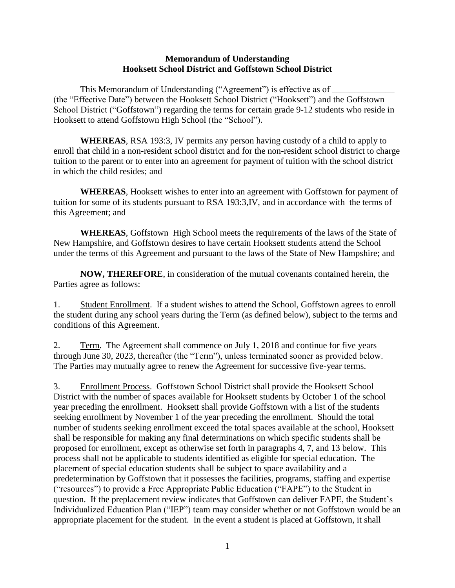## **Memorandum of Understanding Hooksett School District and Goffstown School District**

This Memorandum of Understanding ("Agreement") is effective as of (the "Effective Date") between the Hooksett School District ("Hooksett") and the Goffstown School District ("Goffstown") regarding the terms for certain grade 9-12 students who reside in Hooksett to attend Goffstown High School (the "School").

**WHEREAS**, RSA 193:3, IV permits any person having custody of a child to apply to enroll that child in a non-resident school district and for the non-resident school district to charge tuition to the parent or to enter into an agreement for payment of tuition with the school district in which the child resides; and

**WHEREAS**, Hooksett wishes to enter into an agreement with Goffstown for payment of tuition for some of its students pursuant to RSA 193:3,IV, and in accordance with the terms of this Agreement; and

**WHEREAS**, Goffstown High School meets the requirements of the laws of the State of New Hampshire, and Goffstown desires to have certain Hooksett students attend the School under the terms of this Agreement and pursuant to the laws of the State of New Hampshire; and

**NOW, THEREFORE**, in consideration of the mutual covenants contained herein, the Parties agree as follows:

1. Student Enrollment. If a student wishes to attend the School, Goffstown agrees to enroll the student during any school years during the Term (as defined below), subject to the terms and conditions of this Agreement.

2. Term. The Agreement shall commence on July 1, 2018 and continue for five years through June 30, 2023, thereafter (the "Term"), unless terminated sooner as provided below. The Parties may mutually agree to renew the Agreement for successive five-year terms.

3. Enrollment Process. Goffstown School District shall provide the Hooksett School District with the number of spaces available for Hooksett students by October 1 of the school year preceding the enrollment. Hooksett shall provide Goffstown with a list of the students seeking enrollment by November 1 of the year preceding the enrollment. Should the total number of students seeking enrollment exceed the total spaces available at the school, Hooksett shall be responsible for making any final determinations on which specific students shall be proposed for enrollment, except as otherwise set forth in paragraphs 4, 7, and 13 below. This process shall not be applicable to students identified as eligible for special education. The placement of special education students shall be subject to space availability and a predetermination by Goffstown that it possesses the facilities, programs, staffing and expertise ("resources") to provide a Free Appropriate Public Education ("FAPE") to the Student in question. If the preplacement review indicates that Goffstown can deliver FAPE, the Student's Individualized Education Plan ("IEP") team may consider whether or not Goffstown would be an appropriate placement for the student. In the event a student is placed at Goffstown, it shall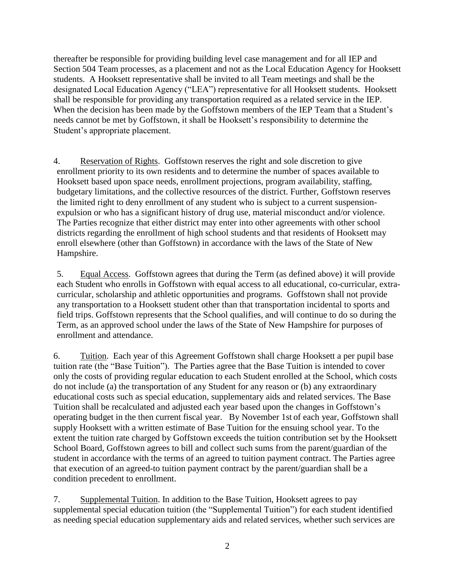thereafter be responsible for providing building level case management and for all IEP and Section 504 Team processes, as a placement and not as the Local Education Agency for Hooksett students. A Hooksett representative shall be invited to all Team meetings and shall be the designated Local Education Agency ("LEA") representative for all Hooksett students. Hooksett shall be responsible for providing any transportation required as a related service in the IEP. When the decision has been made by the Goffstown members of the IEP Team that a Student's needs cannot be met by Goffstown, it shall be Hooksett's responsibility to determine the Student's appropriate placement.

4. Reservation of Rights. Goffstown reserves the right and sole discretion to give enrollment priority to its own residents and to determine the number of spaces available to Hooksett based upon space needs, enrollment projections, program availability, staffing, budgetary limitations, and the collective resources of the district. Further, Goffstown reserves the limited right to deny enrollment of any student who is subject to a current suspensionexpulsion or who has a significant history of drug use, material misconduct and/or violence. The Parties recognize that either district may enter into other agreements with other school districts regarding the enrollment of high school students and that residents of Hooksett may enroll elsewhere (other than Goffstown) in accordance with the laws of the State of New Hampshire.

5. Equal Access. Goffstown agrees that during the Term (as defined above) it will provide each Student who enrolls in Goffstown with equal access to all educational, co-curricular, extracurricular, scholarship and athletic opportunities and programs. Goffstown shall not provide any transportation to a Hooksett student other than that transportation incidental to sports and field trips. Goffstown represents that the School qualifies, and will continue to do so during the Term, as an approved school under the laws of the State of New Hampshire for purposes of enrollment and attendance.

6. Tuition. Each year of this Agreement Goffstown shall charge Hooksett a per pupil base tuition rate (the "Base Tuition"). The Parties agree that the Base Tuition is intended to cover only the costs of providing regular education to each Student enrolled at the School, which costs do not include (a) the transportation of any Student for any reason or (b) any extraordinary educational costs such as special education, supplementary aids and related services. The Base Tuition shall be recalculated and adjusted each year based upon the changes in Goffstown's operating budget in the then current fiscal year. By November 1st of each year, Goffstown shall supply Hooksett with a written estimate of Base Tuition for the ensuing school year. To the extent the tuition rate charged by Goffstown exceeds the tuition contribution set by the Hooksett School Board, Goffstown agrees to bill and collect such sums from the parent/guardian of the student in accordance with the terms of an agreed to tuition payment contract. The Parties agree that execution of an agreed-to tuition payment contract by the parent/guardian shall be a condition precedent to enrollment.

7. Supplemental Tuition. In addition to the Base Tuition, Hooksett agrees to pay supplemental special education tuition (the "Supplemental Tuition") for each student identified as needing special education supplementary aids and related services, whether such services are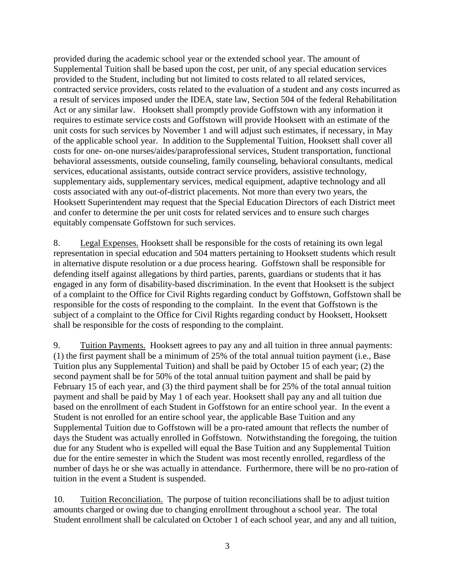provided during the academic school year or the extended school year. The amount of Supplemental Tuition shall be based upon the cost, per unit, of any special education services provided to the Student, including but not limited to costs related to all related services, contracted service providers, costs related to the evaluation of a student and any costs incurred as a result of services imposed under the IDEA, state law, Section 504 of the federal Rehabilitation Act or any similar law. Hooksett shall promptly provide Goffstown with any information it requires to estimate service costs and Goffstown will provide Hooksett with an estimate of the unit costs for such services by November 1 and will adjust such estimates, if necessary, in May of the applicable school year. In addition to the Supplemental Tuition, Hooksett shall cover all costs for one- on-one nurses/aides/paraprofessional services, Student transportation, functional behavioral assessments, outside counseling, family counseling, behavioral consultants, medical services, educational assistants, outside contract service providers, assistive technology, supplementary aids, supplementary services, medical equipment, adaptive technology and all costs associated with any out-of-district placements. Not more than every two years, the Hooksett Superintendent may request that the Special Education Directors of each District meet and confer to determine the per unit costs for related services and to ensure such charges equitably compensate Goffstown for such services.

8. Legal Expenses. Hooksett shall be responsible for the costs of retaining its own legal representation in special education and 504 matters pertaining to Hooksett students which result in alternative dispute resolution or a due process hearing. Goffstown shall be responsible for defending itself against allegations by third parties, parents, guardians or students that it has engaged in any form of disability-based discrimination. In the event that Hooksett is the subject of a complaint to the Office for Civil Rights regarding conduct by Goffstown, Goffstown shall be responsible for the costs of responding to the complaint. In the event that Goffstown is the subject of a complaint to the Office for Civil Rights regarding conduct by Hooksett, Hooksett shall be responsible for the costs of responding to the complaint.

9. Tuition Payments. Hooksett agrees to pay any and all tuition in three annual payments: (1) the first payment shall be a minimum of 25% of the total annual tuition payment (i.e., Base Tuition plus any Supplemental Tuition) and shall be paid by October 15 of each year; (2) the second payment shall be for 50% of the total annual tuition payment and shall be paid by February 15 of each year, and (3) the third payment shall be for 25% of the total annual tuition payment and shall be paid by May 1 of each year. Hooksett shall pay any and all tuition due based on the enrollment of each Student in Goffstown for an entire school year. In the event a Student is not enrolled for an entire school year, the applicable Base Tuition and any Supplemental Tuition due to Goffstown will be a pro-rated amount that reflects the number of days the Student was actually enrolled in Goffstown. Notwithstanding the foregoing, the tuition due for any Student who is expelled will equal the Base Tuition and any Supplemental Tuition due for the entire semester in which the Student was most recently enrolled, regardless of the number of days he or she was actually in attendance. Furthermore, there will be no pro-ration of tuition in the event a Student is suspended.

10. Tuition Reconciliation. The purpose of tuition reconciliations shall be to adjust tuition amounts charged or owing due to changing enrollment throughout a school year. The total Student enrollment shall be calculated on October 1 of each school year, and any and all tuition,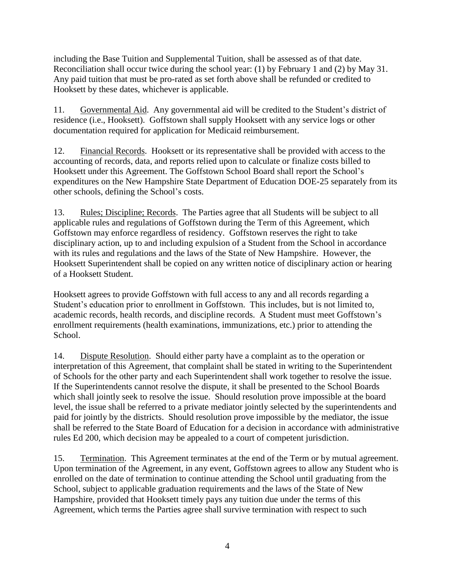including the Base Tuition and Supplemental Tuition, shall be assessed as of that date. Reconciliation shall occur twice during the school year: (1) by February 1 and (2) by May 31. Any paid tuition that must be pro-rated as set forth above shall be refunded or credited to Hooksett by these dates, whichever is applicable.

11. Governmental Aid. Any governmental aid will be credited to the Student's district of residence (i.e., Hooksett). Goffstown shall supply Hooksett with any service logs or other documentation required for application for Medicaid reimbursement.

12. Financial Records. Hooksett or its representative shall be provided with access to the accounting of records, data, and reports relied upon to calculate or finalize costs billed to Hooksett under this Agreement. The Goffstown School Board shall report the School's expenditures on the New Hampshire State Department of Education DOE-25 separately from its other schools, defining the School's costs.

13. Rules; Discipline; Records. The Parties agree that all Students will be subject to all applicable rules and regulations of Goffstown during the Term of this Agreement, which Goffstown may enforce regardless of residency. Goffstown reserves the right to take disciplinary action, up to and including expulsion of a Student from the School in accordance with its rules and regulations and the laws of the State of New Hampshire. However, the Hooksett Superintendent shall be copied on any written notice of disciplinary action or hearing of a Hooksett Student.

Hooksett agrees to provide Goffstown with full access to any and all records regarding a Student's education prior to enrollment in Goffstown. This includes, but is not limited to, academic records, health records, and discipline records. A Student must meet Goffstown's enrollment requirements (health examinations, immunizations, etc.) prior to attending the School.

14. Dispute Resolution. Should either party have a complaint as to the operation or interpretation of this Agreement, that complaint shall be stated in writing to the Superintendent of Schools for the other party and each Superintendent shall work together to resolve the issue. If the Superintendents cannot resolve the dispute, it shall be presented to the School Boards which shall jointly seek to resolve the issue. Should resolution prove impossible at the board level, the issue shall be referred to a private mediator jointly selected by the superintendents and paid for jointly by the districts. Should resolution prove impossible by the mediator, the issue shall be referred to the State Board of Education for a decision in accordance with administrative rules Ed 200, which decision may be appealed to a court of competent jurisdiction.

15. Termination. This Agreement terminates at the end of the Term or by mutual agreement. Upon termination of the Agreement, in any event, Goffstown agrees to allow any Student who is enrolled on the date of termination to continue attending the School until graduating from the School, subject to applicable graduation requirements and the laws of the State of New Hampshire, provided that Hooksett timely pays any tuition due under the terms of this Agreement, which terms the Parties agree shall survive termination with respect to such